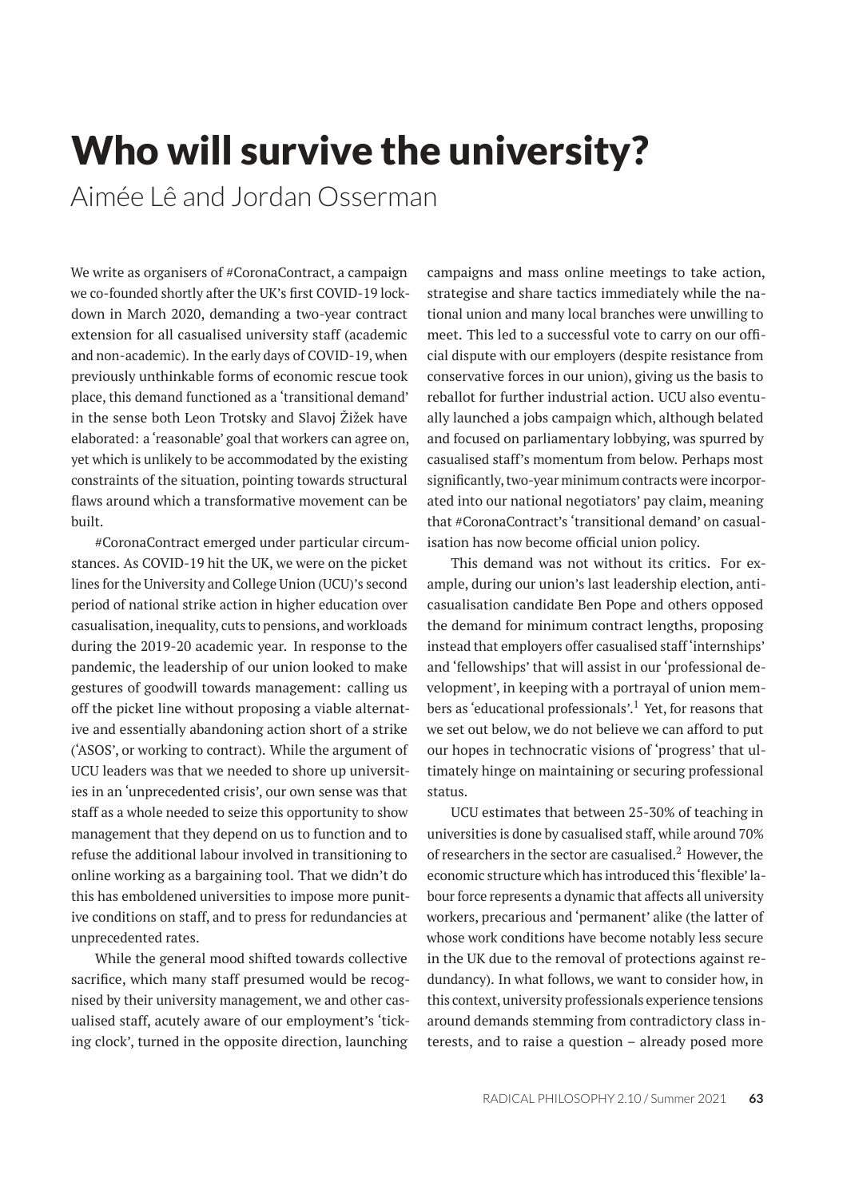# Who will survive the university?

Aimée Lê and Jordan Osserman

We write as organisers of #CoronaContract, a campaign we co-founded shortly after the UK's first COVID-19 lockdown in March 2020, demanding a two-year contract extension for all casualised university staff (academic and non-academic). In the early days of COVID-19, when previously unthinkable forms of economic rescue took place, this demand functioned as a 'transitional demand' in the sense both Leon Trotsky and Slavoj Žižek have elaborated: a 'reasonable' goal that workers can agree on, yet which is unlikely to be accommodated by the existing constraints of the situation, pointing towards structural flaws around which a transformative movement can be built.

#CoronaContract emerged under particular circumstances. As COVID-19 hit the UK, we were on the picket lines for the University and College Union (UCU)'s second period of national strike action in higher education over casualisation, inequality, cuts to pensions, and workloads during the 2019-20 academic year. In response to the pandemic, the leadership of our union looked to make gestures of goodwill towards management: calling us off the picket line without proposing a viable alternative and essentially abandoning action short of a strike ('ASOS', or working to contract). While the argument of UCU leaders was that we needed to shore up universities in an 'unprecedented crisis', our own sense was that staff as a whole needed to seize this opportunity to show management that they depend on us to function and to refuse the additional labour involved in transitioning to online working as a bargaining tool. That we didn't do this has emboldened universities to impose more punitive conditions on staff, and to press for redundancies at unprecedented rates.

While the general mood shifted towards collective sacrifice, which many staff presumed would be recognised by their university management, we and other casualised staff, acutely aware of our employment's 'ticking clock', turned in the opposite direction, launching

campaigns and mass online meetings to take action, strategise and share tactics immediately while the national union and many local branches were unwilling to meet. This led to a successful vote to carry on our official dispute with our employers (despite resistance from conservative forces in our union), giving us the basis to reballot for further industrial action. UCU also eventually launched a jobs campaign which, although belated and focused on parliamentary lobbying, was spurred by casualised staff's momentum from below. Perhaps most significantly, two-year minimum contracts were incorporated into our national negotiators' pay claim, meaning that #CoronaContract's 'transitional demand' on casualisation has now become official union policy.

This demand was not without its critics. For example, during our union's last leadership election, anticasualisation candidate Ben Pope and others opposed the demand for minimum contract lengths, proposing instead that employers offer casualised staff 'internships' and 'fellowships' that will assist in our 'professional development', in keeping with a portrayal of union members as 'educational professionals'.<sup>1</sup> Yet, for reasons that we set out below, we do not believe we can afford to put our hopes in technocratic visions of 'progress' that ultimately hinge on maintaining or securing professional status.

UCU estimates that between 25-30% of teaching in universities is done by casualised staff, while around 70% of researchers in the sector are casualised.<sup>2</sup> However, the economic structure which has introduced this'flexible' labour force represents a dynamic that affects all university workers, precarious and 'permanent' alike (the latter of whose work conditions have become notably less secure in the UK due to the removal of protections against redundancy). In what follows, we want to consider how, in this context, university professionals experience tensions around demands stemming from contradictory class interests, and to raise a question – already posed more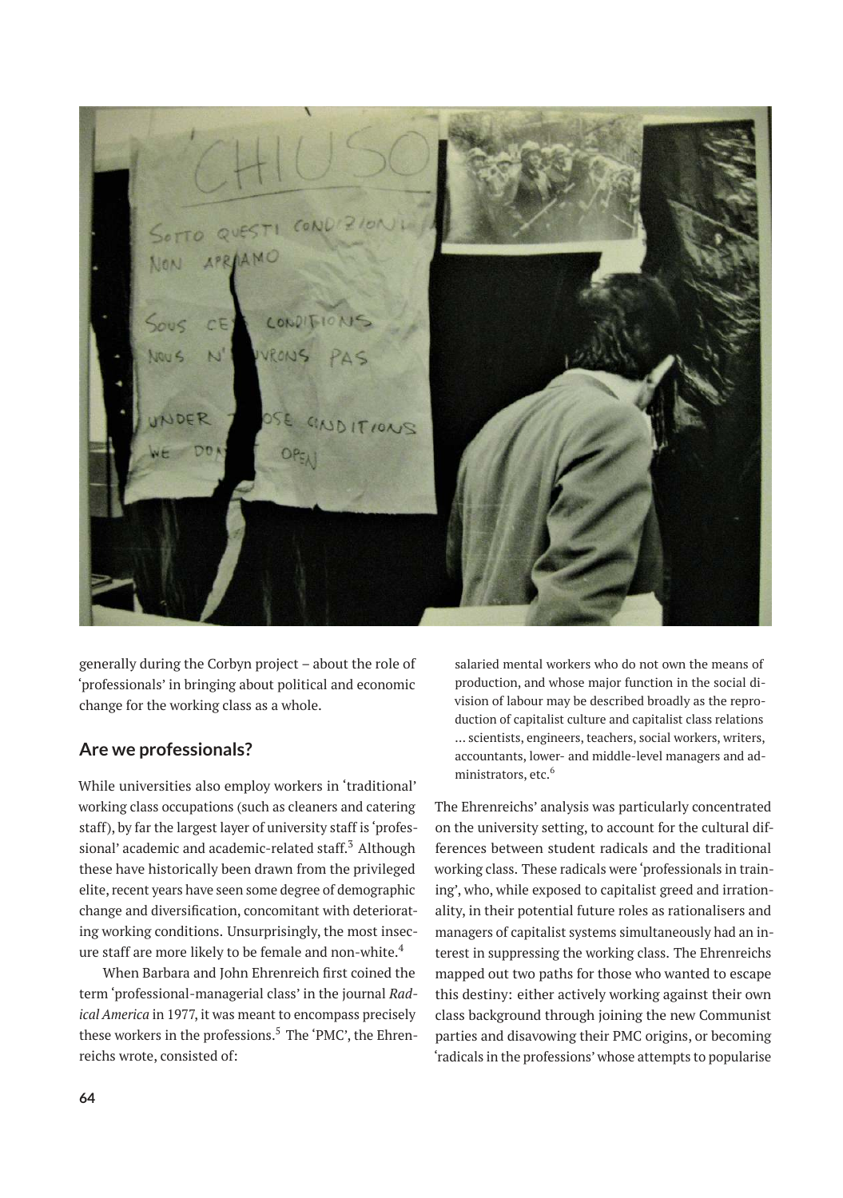

generally during the Corbyn project – about the role of 'professionals' in bringing about political and economic change for the working class as a whole.

## **Are we professionals?**

While universities also employ workers in 'traditional' working class occupations (such as cleaners and catering staff), by far the largest layer of university staff is 'professional' academic and academic-related staff.<sup>3</sup> Although these have historically been drawn from the privileged elite, recent years have seen some degree of demographic change and diversification, concomitant with deteriorating working conditions. Unsurprisingly, the most insecure staff are more likely to be female and non-white.<sup>4</sup>

When Barbara and John Ehrenreich first coined the term 'professional-managerial class' in the journal *Radical America* in 1977, it was meant to encompass precisely these workers in the professions.<sup>5</sup> The 'PMC', the Ehrenreichs wrote, consisted of:

salaried mental workers who do not own the means of production, and whose major function in the social division of labour may be described broadly as the reproduction of capitalist culture and capitalist class relations … scientists, engineers, teachers, social workers, writers, accountants, lower- and middle-level managers and administrators, etc.<sup>6</sup>

The Ehrenreichs' analysis was particularly concentrated on the university setting, to account for the cultural differences between student radicals and the traditional working class. These radicals were 'professionals in training', who, while exposed to capitalist greed and irrationality, in their potential future roles as rationalisers and managers of capitalist systems simultaneously had an interest in suppressing the working class. The Ehrenreichs mapped out two paths for those who wanted to escape this destiny: either actively working against their own class background through joining the new Communist parties and disavowing their PMC origins, or becoming 'radicals in the professions' whose attempts to popularise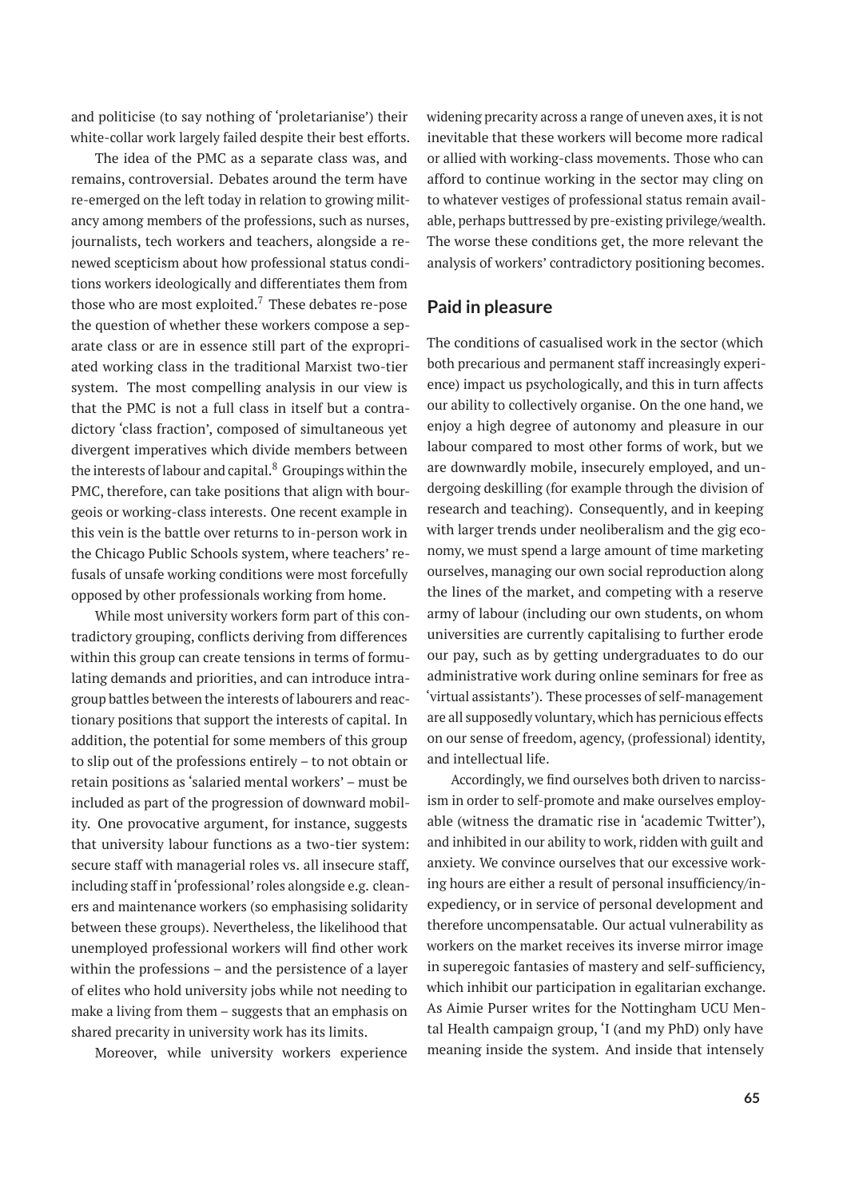and politicise (to say nothing of 'proletarianise') their white-collar work largely failed despite their best efforts.

The idea of the PMC as a separate class was, and remains, controversial. Debates around the term have re-emerged on the left today in relation to growing militancy among members of the professions, such as nurses, journalists, tech workers and teachers, alongside a renewed scepticism about how professional status conditions workers ideologically and differentiates them from those who are most exploited.<sup>7</sup> These debates re-pose the question of whether these workers compose a separate class or are in essence still part of the expropriated working class in the traditional Marxist two-tier system. The most compelling analysis in our view is that the PMC is not a full class in itself but a contradictory 'class fraction', composed of simultaneous yet divergent imperatives which divide members between the interests of labour and capital. $8$  Groupings within the PMC, therefore, can take positions that align with bourgeois or working-class interests. One recent example in this vein is the battle over returns to in-person work in the Chicago Public Schools system, where teachers' refusals of unsafe working conditions were most forcefully opposed by other professionals working from home.

While most university workers form part of this contradictory grouping, conflicts deriving from differences within this group can create tensions in terms of formulating demands and priorities, and can introduce intragroup battles between the interests of labourers and reactionary positions that support the interests of capital. In addition, the potential for some members of this group to slip out of the professions entirely – to not obtain or retain positions as 'salaried mental workers' – must be included as part of the progression of downward mobility. One provocative argument, for instance, suggests that university labour functions as a two-tier system: secure staff with managerial roles vs. all insecure staff, including staff in 'professional' roles alongside e.g. cleaners and maintenance workers (so emphasising solidarity between these groups). Nevertheless, the likelihood that unemployed professional workers will find other work within the professions – and the persistence of a layer of elites who hold university jobs while not needing to make a living from them – suggests that an emphasis on shared precarity in university work has its limits.

Moreover, while university workers experience

widening precarity across a range of uneven axes, it is not inevitable that these workers will become more radical or allied with working-class movements. Those who can afford to continue working in the sector may cling on to whatever vestiges of professional status remain available, perhaps buttressed by pre-existing privilege/wealth. The worse these conditions get, the more relevant the analysis of workers' contradictory positioning becomes.

#### **Paid in pleasure**

The conditions of casualised work in the sector (which both precarious and permanent staff increasingly experience) impact us psychologically, and this in turn affects our ability to collectively organise. On the one hand, we enjoy a high degree of autonomy and pleasure in our labour compared to most other forms of work, but we are downwardly mobile, insecurely employed, and undergoing deskilling (for example through the division of research and teaching). Consequently, and in keeping with larger trends under neoliberalism and the gig economy, we must spend a large amount of time marketing ourselves, managing our own social reproduction along the lines of the market, and competing with a reserve army of labour (including our own students, on whom universities are currently capitalising to further erode our pay, such as by getting undergraduates to do our administrative work during online seminars for free as 'virtual assistants'). These processes of self-management are all supposedly voluntary, which has pernicious effects on our sense of freedom, agency, (professional) identity, and intellectual life.

Accordingly, we find ourselves both driven to narcissism in order to self-promote and make ourselves employable (witness the dramatic rise in 'academic Twitter'), and inhibited in our ability to work, ridden with guilt and anxiety. We convince ourselves that our excessive working hours are either a result of personal insufficiency/inexpediency, or in service of personal development and therefore uncompensatable. Our actual vulnerability as workers on the market receives its inverse mirror image in superegoic fantasies of mastery and self-sufficiency, which inhibit our participation in egalitarian exchange. As Aimie Purser writes for the Nottingham UCU Mental Health campaign group, 'I (and my PhD) only have meaning inside the system. And inside that intensely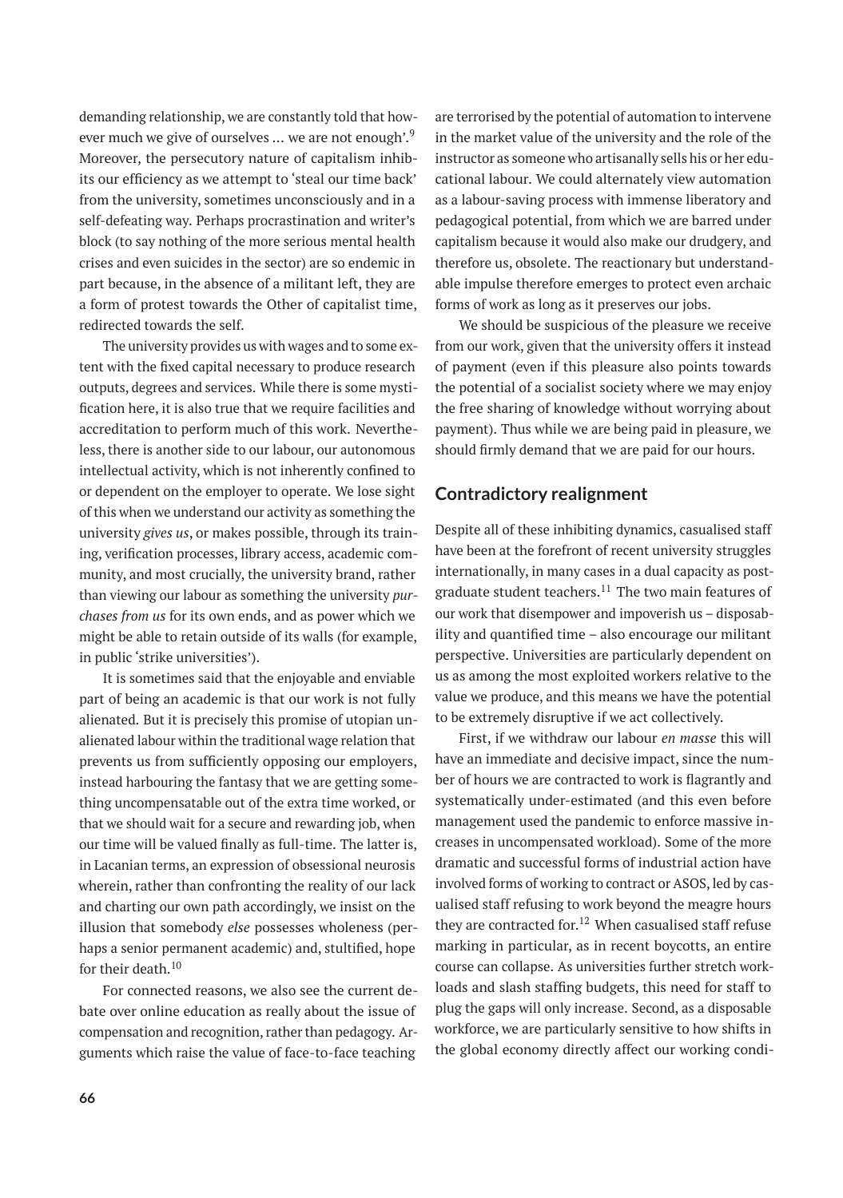demanding relationship, we are constantly told that however much we give of ourselves ... we are not enough'.<sup>9</sup> Moreover, the persecutory nature of capitalism inhibits our efficiency as we attempt to 'steal our time back' from the university, sometimes unconsciously and in a self-defeating way. Perhaps procrastination and writer's block (to say nothing of the more serious mental health crises and even suicides in the sector) are so endemic in part because, in the absence of a militant left, they are a form of protest towards the Other of capitalist time, redirected towards the self.

The university provides us with wages and to some extent with the fixed capital necessary to produce research outputs, degrees and services. While there is some mystification here, it is also true that we require facilities and accreditation to perform much of this work. Nevertheless, there is another side to our labour, our autonomous intellectual activity, which is not inherently confined to or dependent on the employer to operate. We lose sight of this when we understand our activity as something the university *gives us*, or makes possible, through its training, verification processes, library access, academic community, and most crucially, the university brand, rather than viewing our labour as something the university *purchases from us* for its own ends, and as power which we might be able to retain outside of its walls (for example, in public 'strike universities').

It is sometimes said that the enjoyable and enviable part of being an academic is that our work is not fully alienated. But it is precisely this promise of utopian unalienated labour within the traditional wage relation that prevents us from sufficiently opposing our employers, instead harbouring the fantasy that we are getting something uncompensatable out of the extra time worked, or that we should wait for a secure and rewarding job, when our time will be valued finally as full-time. The latter is, in Lacanian terms, an expression of obsessional neurosis wherein, rather than confronting the reality of our lack and charting our own path accordingly, we insist on the illusion that somebody *else* possesses wholeness (perhaps a senior permanent academic) and, stultified, hope for their death.<sup>10</sup>

For connected reasons, we also see the current debate over online education as really about the issue of compensation and recognition, rather than pedagogy. Arguments which raise the value of face-to-face teaching are terrorised by the potential of automation to intervene in the market value of the university and the role of the instructor as someone who artisanally sells his or her educational labour. We could alternately view automation as a labour-saving process with immense liberatory and pedagogical potential, from which we are barred under capitalism because it would also make our drudgery, and therefore us, obsolete. The reactionary but understandable impulse therefore emerges to protect even archaic forms of work as long as it preserves our jobs.

We should be suspicious of the pleasure we receive from our work, given that the university offers it instead of payment (even if this pleasure also points towards the potential of a socialist society where we may enjoy the free sharing of knowledge without worrying about payment). Thus while we are being paid in pleasure, we should firmly demand that we are paid for our hours.

### **Contradictory realignment**

Despite all of these inhibiting dynamics, casualised staff have been at the forefront of recent university struggles internationally, in many cases in a dual capacity as postgraduate student teachers. $11$  The two main features of our work that disempower and impoverish us – disposability and quantified time – also encourage our militant perspective. Universities are particularly dependent on us as among the most exploited workers relative to the value we produce, and this means we have the potential to be extremely disruptive if we act collectively.

First, if we withdraw our labour *en masse* this will have an immediate and decisive impact, since the number of hours we are contracted to work is flagrantly and systematically under-estimated (and this even before management used the pandemic to enforce massive increases in uncompensated workload). Some of the more dramatic and successful forms of industrial action have involved forms of working to contract or ASOS, led by casualised staff refusing to work beyond the meagre hours they are contracted for.<sup>12</sup> When casualised staff refuse marking in particular, as in recent boycotts, an entire course can collapse. As universities further stretch workloads and slash staffing budgets, this need for staff to plug the gaps will only increase. Second, as a disposable workforce, we are particularly sensitive to how shifts in the global economy directly affect our working condi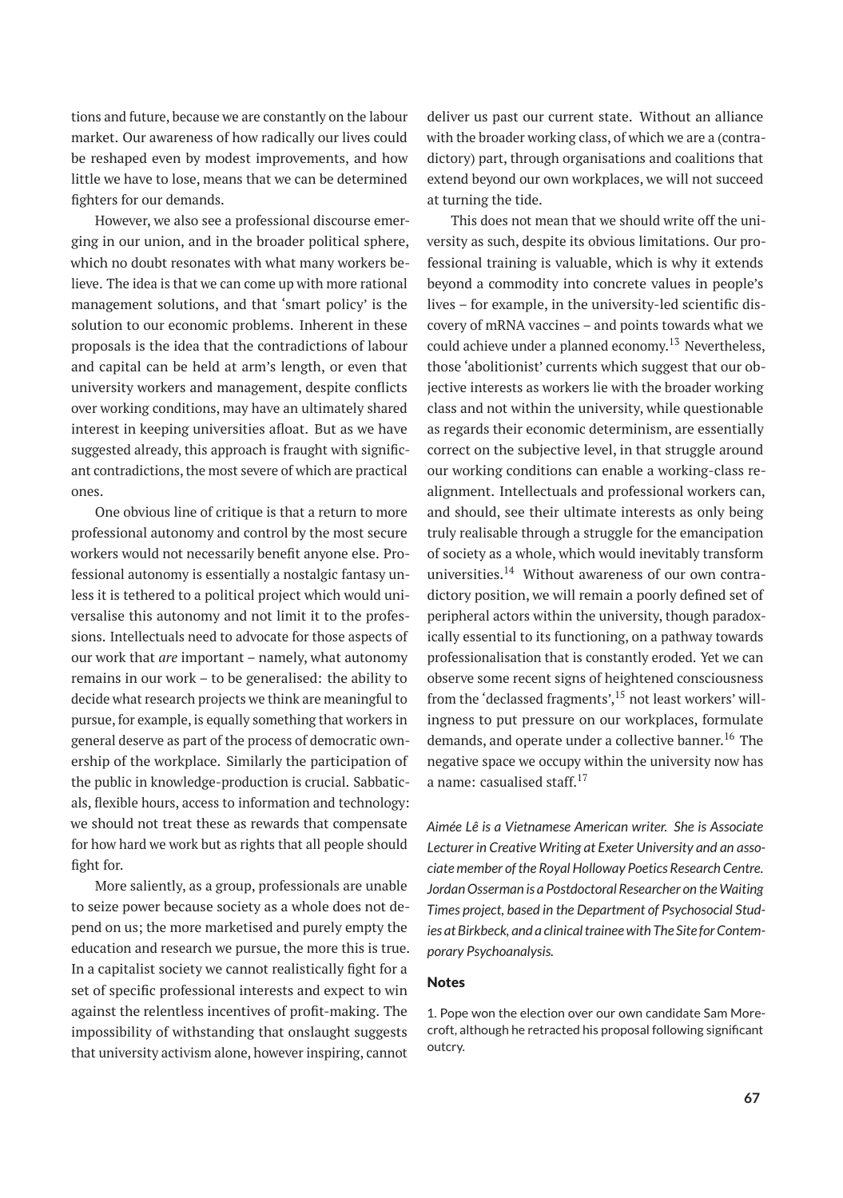tions and future, because we are constantly on the labour market. Our awareness of how radically our lives could be reshaped even by modest improvements, and how little we have to lose, means that we can be determined fighters for our demands.

However, we also see a professional discourse emerging in our union, and in the broader political sphere, which no doubt resonates with what many workers believe. The idea is that we can come up with more rational management solutions, and that 'smart policy' is the solution to our economic problems. Inherent in these proposals is the idea that the contradictions of labour and capital can be held at arm's length, or even that university workers and management, despite conflicts over working conditions, may have an ultimately shared interest in keeping universities afloat. But as we have suggested already, this approach is fraught with significant contradictions, the most severe of which are practical ones.

One obvious line of critique is that a return to more professional autonomy and control by the most secure workers would not necessarily benefit anyone else. Professional autonomy is essentially a nostalgic fantasy unless it is tethered to a political project which would universalise this autonomy and not limit it to the professions. Intellectuals need to advocate for those aspects of our work that *are* important – namely, what autonomy remains in our work – to be generalised: the ability to decide what research projects we think are meaningful to pursue, for example, is equally something that workers in general deserve as part of the process of democratic ownership of the workplace. Similarly the participation of the public in knowledge-production is crucial. Sabbaticals, flexible hours, access to information and technology: we should not treat these as rewards that compensate for how hard we work but as rights that all people should fight for.

More saliently, as a group, professionals are unable to seize power because society as a whole does not depend on us; the more marketised and purely empty the education and research we pursue, the more this is true. In a capitalist society we cannot realistically fight for a set of specific professional interests and expect to win against the relentless incentives of profit-making. The impossibility of withstanding that onslaught suggests that university activism alone, however inspiring, cannot

deliver us past our current state. Without an alliance with the broader working class, of which we are a (contradictory) part, through organisations and coalitions that extend beyond our own workplaces, we will not succeed at turning the tide.

This does not mean that we should write off the university as such, despite its obvious limitations. Our professional training is valuable, which is why it extends beyond a commodity into concrete values in people's lives – for example, in the university-led scientific discovery of mRNA vaccines – and points towards what we could achieve under a planned economy.<sup>13</sup> Nevertheless, those 'abolitionist' currents which suggest that our objective interests as workers lie with the broader working class and not within the university, while questionable as regards their economic determinism, are essentially correct on the subjective level, in that struggle around our working conditions can enable a working-class realignment. Intellectuals and professional workers can, and should, see their ultimate interests as only being truly realisable through a struggle for the emancipation of society as a whole, which would inevitably transform universities.<sup>14</sup> Without awareness of our own contradictory position, we will remain a poorly defined set of peripheral actors within the university, though paradoxically essential to its functioning, on a pathway towards professionalisation that is constantly eroded. Yet we can observe some recent signs of heightened consciousness from the 'declassed fragments',  $15$  not least workers' willingness to put pressure on our workplaces, formulate demands, and operate under a collective banner.<sup>16</sup> The negative space we occupy within the university now has a name: casualised staff. $17$ 

*Aimée Lê is a Vietnamese American writer. She is Associate Lecturer in Creative Writing at Exeter University and an associate member of the Royal Holloway Poetics Research Centre. Jordan Osserman is a Postdoctoral Researcher on theWaiting Times project, based in the Department of Psychosocial Studies at Birkbeck, and a clinical trainee with The Site for Contemporary Psychoanalysis.*

#### Notes

1. Pope won the election over our own candidate Sam Morecroft, although he retracted his proposal following significant outcry.